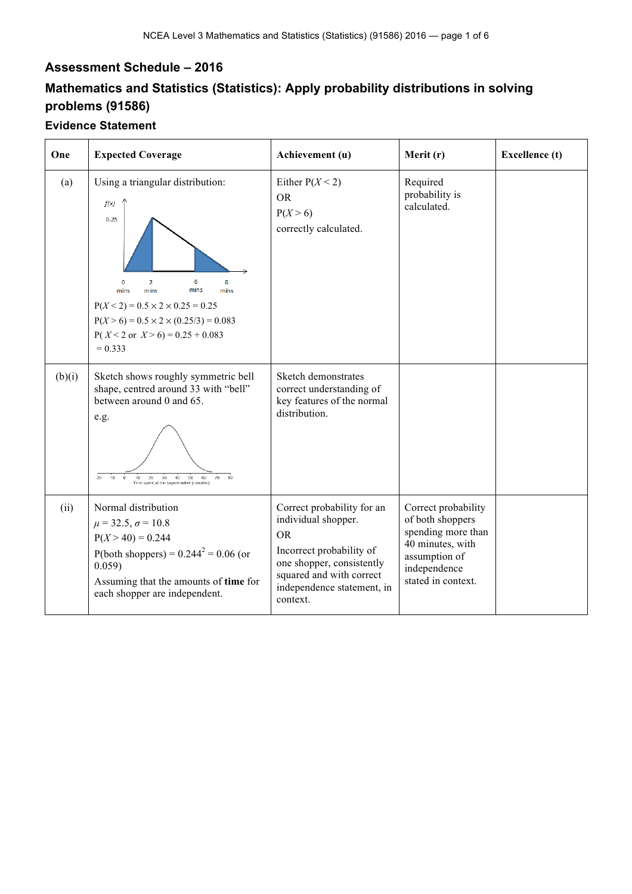## **Assessment Schedule – 2016**

## **Mathematics and Statistics (Statistics): Apply probability distributions in solving problems (91586)**

## **Evidence Statement**

| One    | <b>Expected Coverage</b>                                                                                                                                                                                                                                                           | Achievement (u)                                                                                                                                                                               | Merit (r)                                                                                                                                | <b>Excellence</b> (t) |
|--------|------------------------------------------------------------------------------------------------------------------------------------------------------------------------------------------------------------------------------------------------------------------------------------|-----------------------------------------------------------------------------------------------------------------------------------------------------------------------------------------------|------------------------------------------------------------------------------------------------------------------------------------------|-----------------------|
| (a)    | Using a triangular distribution:<br>f(x)<br>0.25<br>6<br>8<br>$\overline{2}$<br>0<br>mins<br>mins<br>mins<br>mins<br>$P(X < 2) = 0.5 \times 2 \times 0.25 = 0.25$<br>$P(X > 6) = 0.5 \times 2 \times (0.25/3) = 0.083$<br>$P(X < 2 \text{ or } X > 6) = 0.25 + 0.083$<br>$= 0.333$ | Either $P(X < 2)$<br><b>OR</b><br>P(X > 6)<br>correctly calculated.                                                                                                                           | Required<br>probability is<br>calculated.                                                                                                |                       |
| (b)(i) | Sketch shows roughly symmetric bell<br>shape, centred around 33 with "bell"<br>between around 0 and 65.<br>e.g.<br>$-10$<br>.on<br>$-20$<br>10<br>$30\,$<br>40<br>50<br>60<br>70<br>20<br>Time spent at the supermarket (minutes)                                                  | Sketch demonstrates<br>correct understanding of<br>key features of the normal<br>distribution.                                                                                                |                                                                                                                                          |                       |
| (ii)   | Normal distribution<br>$\mu = 32.5, \sigma = 10.8$<br>$P(X > 40) = 0.244$<br>P(both shoppers) = $0.244^2$ = 0.06 (or<br>0.059)<br>Assuming that the amounts of time for<br>each shopper are independent.                                                                           | Correct probability for an<br>individual shopper.<br><b>OR</b><br>Incorrect probability of<br>one shopper, consistently<br>squared and with correct<br>independence statement, in<br>context. | Correct probability<br>of both shoppers<br>spending more than<br>40 minutes, with<br>assumption of<br>independence<br>stated in context. |                       |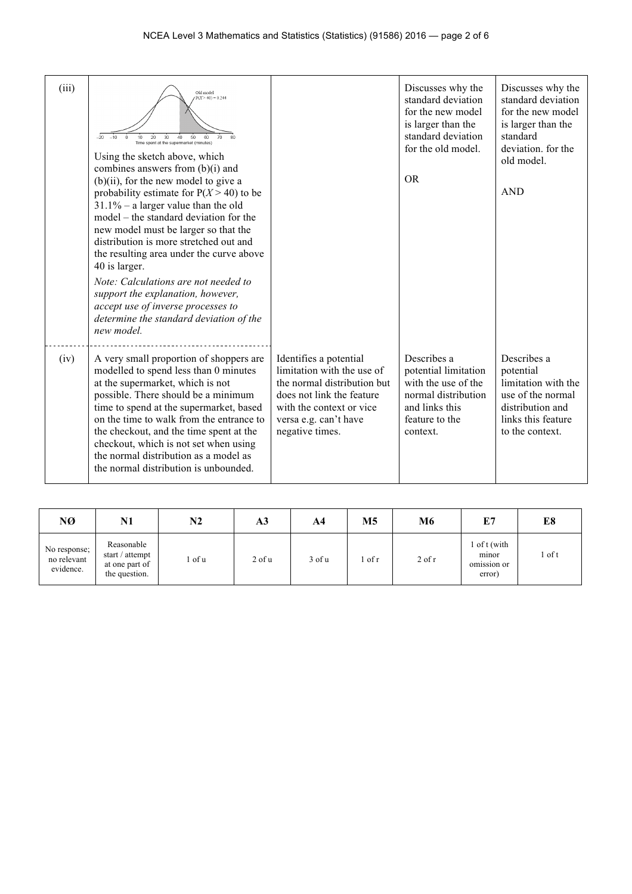| (iii) | Old model<br>$P(X > 40) = 0.244$<br>60<br>30<br>$40^{\circ}$<br>50 <sub>o</sub><br>20<br>Time spent at the supermarket (minutes)<br>Using the sketch above, which<br>combines answers from $(b)(i)$ and<br>$(b)(ii)$ , for the new model to give a<br>probability estimate for $P(X > 40)$ to be<br>$31.1\%$ – a larger value than the old<br>model – the standard deviation for the<br>new model must be larger so that the<br>distribution is more stretched out and<br>the resulting area under the curve above<br>40 is larger.<br>Note: Calculations are not needed to<br>support the explanation, however,<br>accept use of inverse processes to<br>determine the standard deviation of the<br>new model. |                                                                                                                                                                                          | Discusses why the<br>standard deviation<br>for the new model<br>is larger than the<br>standard deviation<br>for the old model.<br><b>OR</b> | Discusses why the<br>standard deviation<br>for the new model<br>is larger than the<br>standard<br>deviation, for the<br>old model.<br><b>AND</b> |
|-------|-----------------------------------------------------------------------------------------------------------------------------------------------------------------------------------------------------------------------------------------------------------------------------------------------------------------------------------------------------------------------------------------------------------------------------------------------------------------------------------------------------------------------------------------------------------------------------------------------------------------------------------------------------------------------------------------------------------------|------------------------------------------------------------------------------------------------------------------------------------------------------------------------------------------|---------------------------------------------------------------------------------------------------------------------------------------------|--------------------------------------------------------------------------------------------------------------------------------------------------|
| (iv)  | A very small proportion of shoppers are<br>modelled to spend less than 0 minutes<br>at the supermarket, which is not<br>possible. There should be a minimum<br>time to spend at the supermarket, based<br>on the time to walk from the entrance to<br>the checkout, and the time spent at the<br>checkout, which is not set when using<br>the normal distribution as a model as<br>the normal distribution is unbounded.                                                                                                                                                                                                                                                                                        | Identifies a potential<br>limitation with the use of<br>the normal distribution but<br>does not link the feature<br>with the context or vice<br>versa e.g. can't have<br>negative times. | Describes a<br>potential limitation<br>with the use of the<br>normal distribution<br>and links this<br>feature to the<br>context.           | Describes a<br>potential<br>limitation with the<br>use of the normal<br>distribution and<br>links this feature<br>to the context.                |

| NØ                                       | N1                                                               | N2   | A3         | A4         | M5   | M6         | E7                                             | E8       |
|------------------------------------------|------------------------------------------------------------------|------|------------|------------|------|------------|------------------------------------------------|----------|
| No response;<br>no relevant<br>evidence. | Reasonable<br>start / attempt<br>at one part of<br>the question. | of u | $2$ of $u$ | $3$ of $u$ | of r | $2$ of $r$ | l of t (with<br>minor<br>omission or<br>error) | $1$ of t |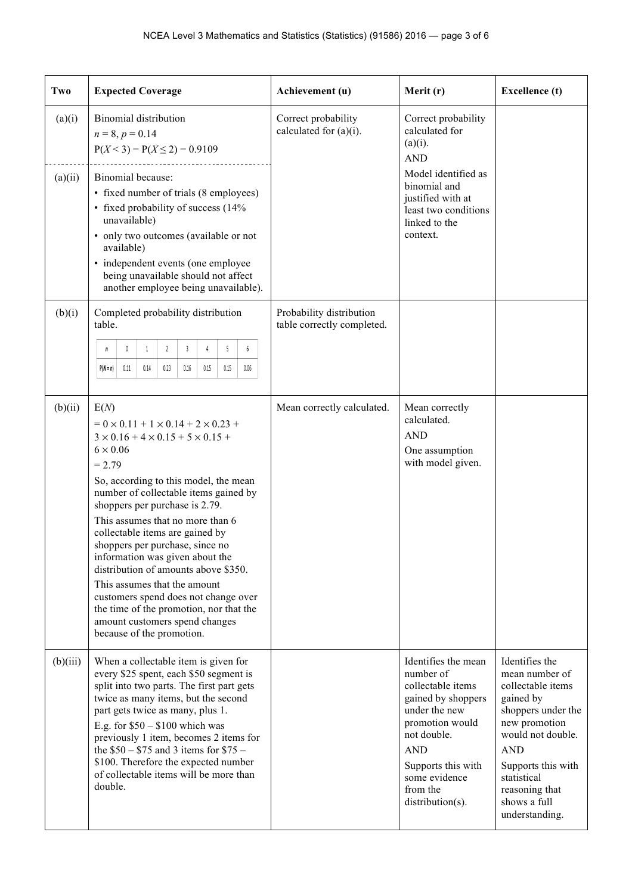| Two      | <b>Expected Coverage</b>                                                                                                                                                                                                                                                                                                                                                                                                                                                                                                                                                                                                                   | Achievement (u)                                        | Merit (r)                                                                                                                                                                                                           | <b>Excellence</b> (t)                                                                                                                                                                                                                 |
|----------|--------------------------------------------------------------------------------------------------------------------------------------------------------------------------------------------------------------------------------------------------------------------------------------------------------------------------------------------------------------------------------------------------------------------------------------------------------------------------------------------------------------------------------------------------------------------------------------------------------------------------------------------|--------------------------------------------------------|---------------------------------------------------------------------------------------------------------------------------------------------------------------------------------------------------------------------|---------------------------------------------------------------------------------------------------------------------------------------------------------------------------------------------------------------------------------------|
| (a)(i)   | <b>Binomial</b> distribution<br>$n = 8, p = 0.14$<br>$P(X < 3) = P(X \le 2) = 0.9109$                                                                                                                                                                                                                                                                                                                                                                                                                                                                                                                                                      | Correct probability<br>calculated for $(a)(i)$ .       | Correct probability<br>calculated for<br>$(a)(i)$ .<br><b>AND</b>                                                                                                                                                   |                                                                                                                                                                                                                                       |
| (a)(ii)  | Binomial because:<br>• fixed number of trials (8 employees)<br>• fixed probability of success (14%<br>unavailable)<br>• only two outcomes (available or not<br>available)<br>• independent events (one employee<br>being unavailable should not affect<br>another employee being unavailable).                                                                                                                                                                                                                                                                                                                                             |                                                        | Model identified as<br>binomial and<br>justified with at<br>least two conditions<br>linked to the<br>context.                                                                                                       |                                                                                                                                                                                                                                       |
| (b)(i)   | Completed probability distribution<br>table.<br>5<br>$6\phantom{.0}$<br>$\mathbb{0}$<br>1<br>$\overline{2}$<br>$\overline{3}$<br>4<br>n<br>$P(N = n)$<br>0.11<br>0.14<br>0.23<br>0.16<br>0.15<br>0.15<br>0.06                                                                                                                                                                                                                                                                                                                                                                                                                              | Probability distribution<br>table correctly completed. |                                                                                                                                                                                                                     |                                                                                                                                                                                                                                       |
| (b)(ii)  | E(N)<br>$= 0 \times 0.11 + 1 \times 0.14 + 2 \times 0.23 +$<br>$3 \times 0.16 + 4 \times 0.15 + 5 \times 0.15 +$<br>$6 \times 0.06$<br>$= 2.79$<br>So, according to this model, the mean<br>number of collectable items gained by<br>shoppers per purchase is 2.79.<br>This assumes that no more than 6<br>collectable items are gained by<br>shoppers per purchase, since no<br>information was given about the<br>distribution of amounts above \$350.<br>This assumes that the amount<br>customers spend does not change over<br>the time of the promotion, nor that the<br>amount customers spend changes<br>because of the promotion. | Mean correctly calculated.                             | Mean correctly<br>calculated.<br><b>AND</b><br>One assumption<br>with model given.                                                                                                                                  |                                                                                                                                                                                                                                       |
| (b)(iii) | When a collectable item is given for<br>every \$25 spent, each \$50 segment is<br>split into two parts. The first part gets<br>twice as many items, but the second<br>part gets twice as many, plus 1.<br>E.g. for $$50 - $100$ which was<br>previously 1 item, becomes 2 items for<br>the $$50 - $75$ and 3 items for $$75 -$<br>\$100. Therefore the expected number<br>of collectable items will be more than<br>double.                                                                                                                                                                                                                |                                                        | Identifies the mean<br>number of<br>collectable items<br>gained by shoppers<br>under the new<br>promotion would<br>not double.<br><b>AND</b><br>Supports this with<br>some evidence<br>from the<br>distribution(s). | Identifies the<br>mean number of<br>collectable items<br>gained by<br>shoppers under the<br>new promotion<br>would not double.<br><b>AND</b><br>Supports this with<br>statistical<br>reasoning that<br>shows a full<br>understanding. |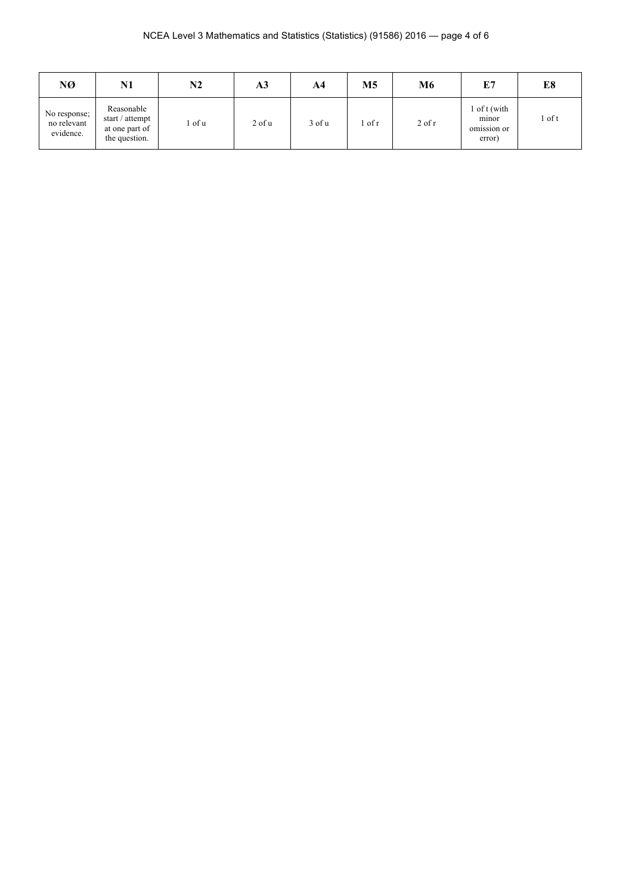| NØ                                       | N1                                                               | N2     | A3         | A4     | M <sub>5</sub> | M6       | E7                                                              | E8       |
|------------------------------------------|------------------------------------------------------------------|--------|------------|--------|----------------|----------|-----------------------------------------------------------------|----------|
| No response;<br>no relevant<br>evidence. | Reasonable<br>start / attempt<br>at one part of<br>the question. | l of u | $2$ of $u$ | 3 of u | of r           | $2$ of r | l of t (with<br>minor<br>$\sim$ $\sim$<br>omission or<br>error) | $1$ of t |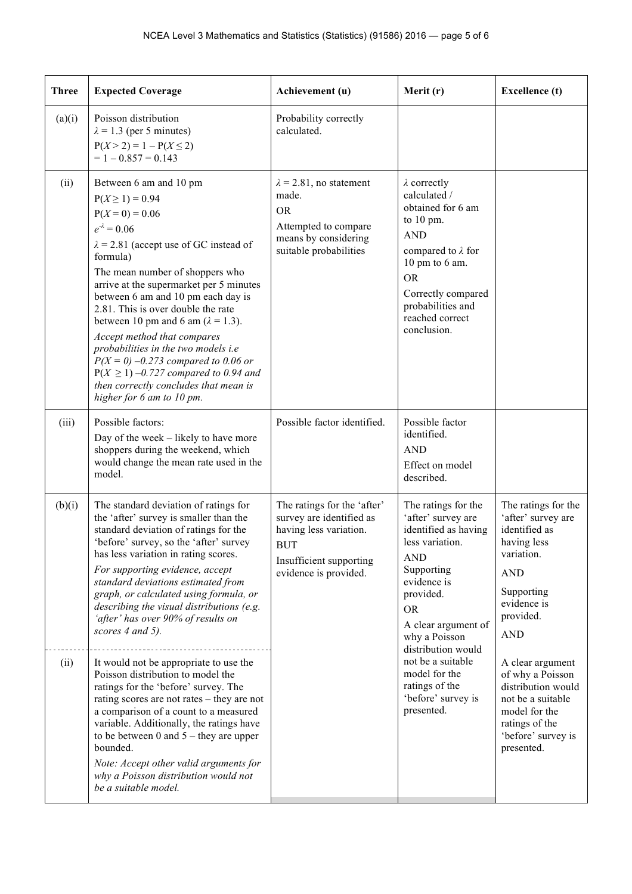| <b>Three</b> | <b>Expected Coverage</b>                                                                                                                                                                                                                                                                                                                                                                                                                                                                                                                                                                        | Achievement (u)                                                                                                                                     | Merit (r)                                                                                                                                                                                                                                         | <b>Excellence</b> (t)                                                                                                                                         |
|--------------|-------------------------------------------------------------------------------------------------------------------------------------------------------------------------------------------------------------------------------------------------------------------------------------------------------------------------------------------------------------------------------------------------------------------------------------------------------------------------------------------------------------------------------------------------------------------------------------------------|-----------------------------------------------------------------------------------------------------------------------------------------------------|---------------------------------------------------------------------------------------------------------------------------------------------------------------------------------------------------------------------------------------------------|---------------------------------------------------------------------------------------------------------------------------------------------------------------|
| (a)(i)       | Poisson distribution<br>$\lambda$ = 1.3 (per 5 minutes)<br>$P(X > 2) = 1 - P(X \le 2)$<br>$= 1 - 0.857 = 0.143$                                                                                                                                                                                                                                                                                                                                                                                                                                                                                 | Probability correctly<br>calculated.                                                                                                                |                                                                                                                                                                                                                                                   |                                                                                                                                                               |
| (ii)         | Between 6 am and 10 pm<br>$P(X \ge 1) = 0.94$<br>$P(X=0) = 0.06$<br>$e^{-\lambda} = 0.06$<br>$\lambda$ = 2.81 (accept use of GC instead of<br>formula)<br>The mean number of shoppers who<br>arrive at the supermarket per 5 minutes<br>between 6 am and 10 pm each day is<br>2.81. This is over double the rate<br>between 10 pm and 6 am $(\lambda = 1.3)$ .<br>Accept method that compares<br>probabilities in the two models i.e<br>$P(X = 0) -0.273$ compared to 0.06 or<br>$P(X \ge 1) -0.727$ compared to 0.94 and<br>then correctly concludes that mean is<br>higher for 6 am to 10 pm. | $\lambda$ = 2.81, no statement<br>made.<br><b>OR</b><br>Attempted to compare<br>means by considering<br>suitable probabilities                      | $\lambda$ correctly<br>calculated /<br>obtained for 6 am<br>to $10 \text{ pm}$ .<br><b>AND</b><br>compared to $\lambda$ for<br>$10 \text{ pm}$ to 6 am.<br><b>OR</b><br>Correctly compared<br>probabilities and<br>reached correct<br>conclusion. |                                                                                                                                                               |
| (iii)        | Possible factors:<br>Day of the week – likely to have more<br>shoppers during the weekend, which<br>would change the mean rate used in the<br>model.                                                                                                                                                                                                                                                                                                                                                                                                                                            | Possible factor identified.                                                                                                                         | Possible factor<br>identified.<br><b>AND</b><br>Effect on model<br>described.                                                                                                                                                                     |                                                                                                                                                               |
| (b)(i)       | The standard deviation of ratings for<br>the 'after' survey is smaller than the<br>standard deviation of ratings for the<br>'before' survey, so the 'after' survey<br>has less variation in rating scores.<br>For supporting evidence, accept<br>standard deviations estimated from<br>graph, or calculated using formula, or<br>describing the visual distributions (e.g.<br>'after' has over 90% of results on<br>scores 4 and 5).                                                                                                                                                            | The ratings for the 'after'<br>survey are identified as<br>having less variation.<br><b>BUT</b><br>Insufficient supporting<br>evidence is provided. | The ratings for the<br>'after' survey are<br>identified as having<br>less variation.<br><b>AND</b><br>Supporting<br>evidence is<br>provided.<br><b>OR</b><br>A clear argument of<br>why a Poisson<br>distribution would                           | The ratings for the<br>'after' survey are<br>identified as<br>having less<br>variation.<br><b>AND</b><br>Supporting<br>evidence is<br>provided.<br><b>AND</b> |
| (ii)         | It would not be appropriate to use the<br>Poisson distribution to model the<br>ratings for the 'before' survey. The<br>rating scores are not rates – they are not<br>a comparison of a count to a measured<br>variable. Additionally, the ratings have<br>to be between 0 and $5$ – they are upper<br>bounded.<br>Note: Accept other valid arguments for<br>why a Poisson distribution would not<br>be a suitable model.                                                                                                                                                                        |                                                                                                                                                     | not be a suitable<br>model for the<br>ratings of the<br>'before' survey is<br>presented.                                                                                                                                                          | A clear argument<br>of why a Poisson<br>distribution would<br>not be a suitable<br>model for the<br>ratings of the<br>'before' survey is<br>presented.        |